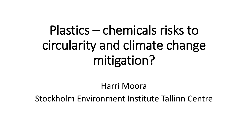# Plastics – chemicals risks to circularity and climate change mitigation?

Harri Moora

Stockholm Environment Institute Tallinn Centre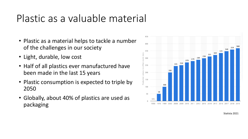# Plastic as a valuable material

- Plastic as a material helps to tackle a number of the challenges in our society
- Light, durable, low cost
- Half of all plastics ever manufactured have been made in the last 15 years
- Plastic consumption is expected to triple by 2050
- Globally, about 40% of plastics are used as packaging



Statista 2021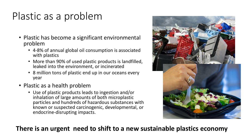# Plastic as a problem

- Plastic has become a significant environmental problem
	- 4-8% of annual global oil consumption is associated with plastics
	- More than 90% of used plastic products is landfilled, leaked into the environment, or incinerated
	- 8 million tons of plastic end up in our oceans every year
- Plastic as a health problem
	- Use of plastic products leads to ingestion and/or inhalation of large amounts of both microplastic particles and hundreds of hazardous substances with known or suspected carcinogenic, developmental, or endocrine-disrupting impacts.



#### **There is an urgent need to shift to a new sustainable plastics economy**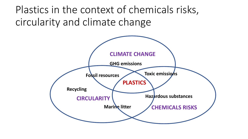Plastics in the context of chemicals risks, circularity and climate change

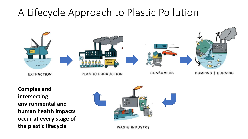## A Lifecycle Approach to Plastic Pollution



**Complex and intersecting environmental and human health impacts occur at every stage of the plastic lifecycle**



**WASTE INDUSTRY**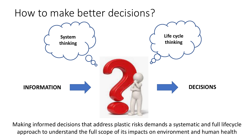### How to make better decisions?



Making informed decisions that address plastic risks demands a systematic and full lifecycle approach to understand the full scope of its impacts on environment and human health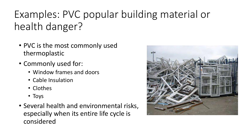# Examples: PVC popular building material or health danger?

- PVC is the most commonly used thermoplastic
- Commonly used for:
	- Window frames and doors
	- Cable Insulation
	- Clothes
	- Toys
- Several health and environmental risks, especially when its entire life cycle is considered

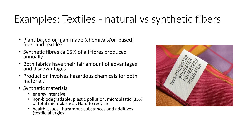# Examples: Textiles - natural vs synthetic fibers

- Plant-based or man-made (chemicals/oil-based) fiber and textile?
- Synthetic fibres ca 65% of all fibres produced annually
- Both fabrics have their fair amount of advantages and disadvantages
- Production involves hazardous chemicals for both materials
- Synthetic materials
	- energy intensive
	- non-biodegradable, plastic pollution, microplastic (35% of total microplastics), Hard to recycle
	- health issues hazardous substances and additives (textile allergies)